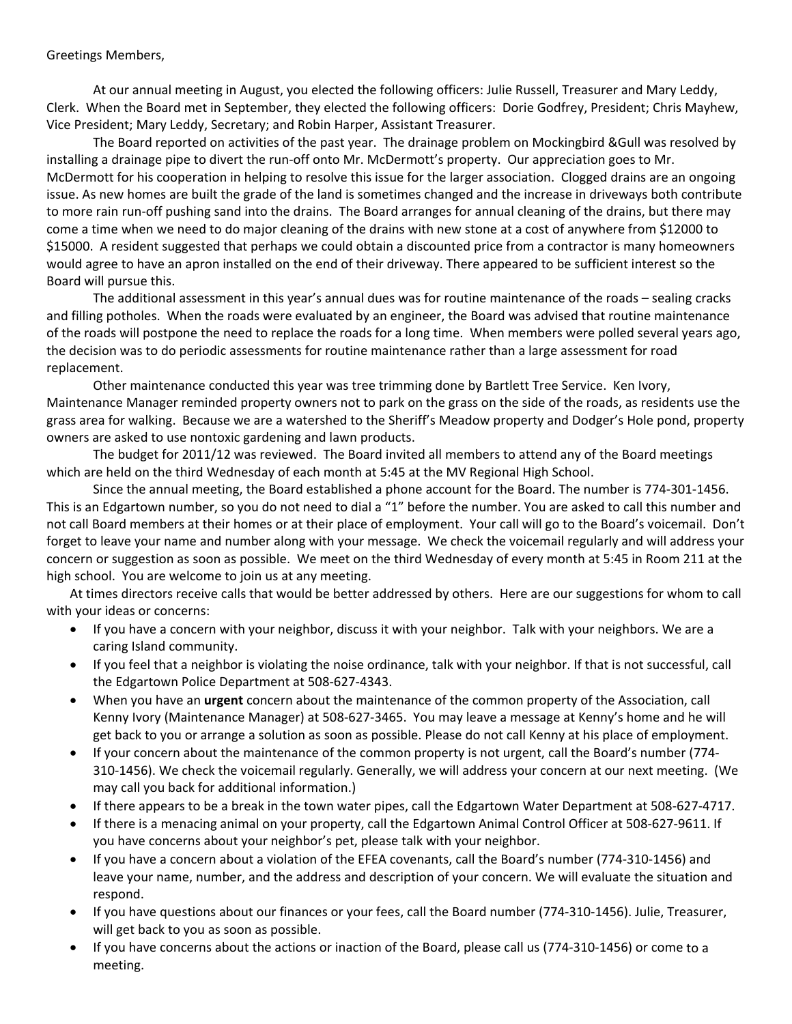## Greetings Members,

At our annual meeting in August, you elected the following officers: Julie Russell, Treasurer and Mary Leddy, Clerk. When the Board met in September, they elected the following officers: Dorie Godfrey, President; Chris Mayhew, Vice President; Mary Leddy, Secretary; and Robin Harper, Assistant Treasurer.

The Board reported on activities of the past year. The drainage problem on Mockingbird &Gull was resolved by installing a drainage pipe to divert the run‐off onto Mr. McDermott's property. Our appreciation goes to Mr. McDermott for his cooperation in helping to resolve this issue for the larger association. Clogged drains are an ongoing issue. As new homes are built the grade of the land is sometimes changed and the increase in driveways both contribute to more rain run-off pushing sand into the drains. The Board arranges for annual cleaning of the drains, but there may come a time when we need to do major cleaning of the drains with new stone at a cost of anywhere from \$12000 to \$15000. A resident suggested that perhaps we could obtain a discounted price from a contractor is many homeowners would agree to have an apron installed on the end of their driveway. There appeared to be sufficient interest so the Board will pursue this.

The additional assessment in this year's annual dues was for routine maintenance of the roads – sealing cracks and filling potholes. When the roads were evaluated by an engineer, the Board was advised that routine maintenance of the roads will postpone the need to replace the roads for a long time. When members were polled several years ago, the decision was to do periodic assessments for routine maintenance rather than a large assessment for road replacement.

Other maintenance conducted this year was tree trimming done by Bartlett Tree Service. Ken Ivory, Maintenance Manager reminded property owners not to park on the grass on the side of the roads, as residents use the grass area for walking. Because we are a watershed to the Sheriff's Meadow property and Dodger's Hole pond, property owners are asked to use nontoxic gardening and lawn products.

The budget for 2011/12 was reviewed. The Board invited all members to attend any of the Board meetings which are held on the third Wednesday of each month at 5:45 at the MV Regional High School.

Since the annual meeting, the Board established a phone account for the Board. The number is 774‐301‐1456. This is an Edgartown number, so you do not need to dial a "1" before the number. You are asked to call this number and not call Board members at their homes or at their place of employment. Your call will go to the Board's voicemail. Don't forget to leave your name and number along with your message. We check the voicemail regularly and will address your concern or suggestion as soon as possible. We meet on the third Wednesday of every month at 5:45 in Room 211 at the high school. You are welcome to join us at any meeting.

At times directors receive calls that would be better addressed by others. Here are our suggestions for whom to call with your ideas or concerns:

- If you have a concern with your neighbor, discuss it with your neighbor. Talk with your neighbors. We are a caring Island community.
- If you feel that a neighbor is violating the noise ordinance, talk with your neighbor. If that is not successful, call the Edgartown Police Department at 508‐627‐4343.
- When you have an **urgent** concern about the maintenance of the common property of the Association, call Kenny Ivory (Maintenance Manager) at 508‐627‐3465. You may leave a message at Kenny's home and he will get back to you or arrange a solution as soon as possible. Please do not call Kenny at his place of employment.
- If your concern about the maintenance of the common property is not urgent, call the Board's number (774‐ 310‐1456). We check the voicemail regularly. Generally, we will address your concern at our next meeting. (We may call you back for additional information.)
- If there appears to be a break in the town water pipes, call the Edgartown Water Department at 508‐627‐4717.
- If there is a menacing animal on your property, call the Edgartown Animal Control Officer at 508‐627‐9611. If you have concerns about your neighbor's pet, please talk with your neighbor.
- If you have a concern about a violation of the EFEA covenants, call the Board's number (774‐310‐1456) and leave your name, number, and the address and description of your concern. We will evaluate the situation and respond.
- If you have questions about our finances or your fees, call the Board number (774‐310‐1456). Julie, Treasurer, will get back to you as soon as possible.
- If you have concerns about the actions or inaction of the Board, please call us (774‐310‐1456) or come to a meeting.